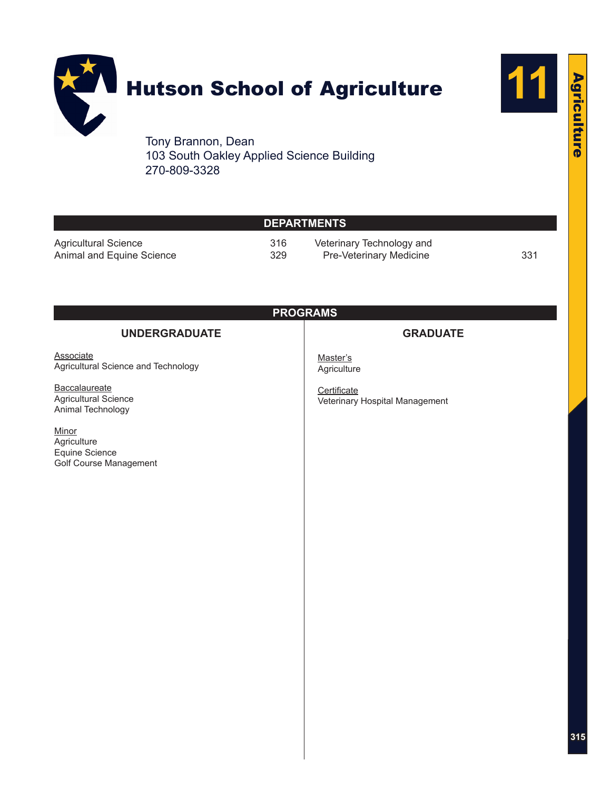

103 South Oakley Applied Science Building 270-809-3328

|                                                                  |            | <b>DEPARTMENTS</b>                                   |     |
|------------------------------------------------------------------|------------|------------------------------------------------------|-----|
| <b>Agricultural Science</b><br>Animal and Equine Science         | 316<br>329 | Veterinary Technology and<br>Pre-Veterinary Medicine | 331 |
|                                                                  |            | <b>PROGRAMS</b>                                      |     |
| <b>UNDERGRADUATE</b>                                             |            | <b>GRADUATE</b>                                      |     |
| <b>Associate</b><br>Agricultural Science and Technology          |            | Master's<br>Agriculture                              |     |
| Baccalaureate<br>Agricultural Science<br>Animal Technology       |            | Certificate<br>Veterinary Hospital Management        |     |
| Minor<br>Agriculture<br>Equine Science<br>Golf Course Management |            |                                                      |     |

**11**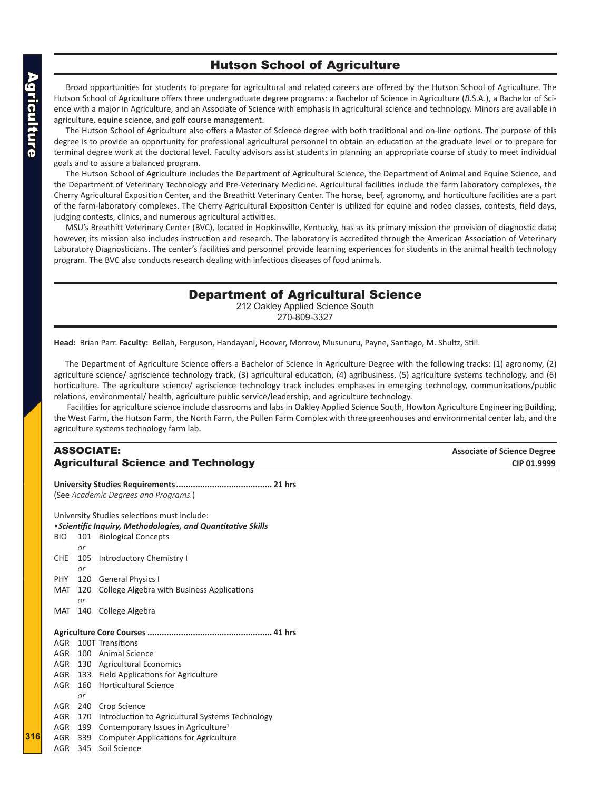# Hutson School of Agriculture

<span id="page-1-0"></span>Broad opportunities for students to prepare for agricultural and related careers are offered by the Hutson School of Agriculture. The Hutson School of Agriculture offers three undergraduate degree programs: a Bachelor of Science in Agriculture (*B*.S.A.), a Bachelor of Science with a major in Agriculture, and an Associate of Science with emphasis in agricultural science and technology. Minors are available in agriculture, equine science, and golf course management.

The Hutson School of Agriculture also offers a Master of Science degree with both traditional and on-line options. The purpose of this degree is to provide an opportunity for professional agricultural personnel to obtain an education at the graduate level or to prepare for terminal degree work at the doctoral level. Faculty advisors assist students in planning an appropriate course of study to meet individual goals and to assure a balanced program.

The Hutson School of Agriculture includes the Department of Agricultural Science, the Department of Animal and Equine Science, and the Department of Veterinary Technology and Pre-Veterinary Medicine. Agricultural facilities include the farm laboratory complexes, the Cherry Agricultural Exposition Center, and the Breathitt Veterinary Center. The horse, beef, agronomy, and horticulture facilities are a part of the farm-laboratory complexes. The Cherry Agricultural Exposition Center is utilized for equine and rodeo classes, contests, field days, judging contests, clinics, and numerous agricultural activities.

MSU's Breathitt Veterinary Center (BVC), located in Hopkinsville, Kentucky, has as its primary mission the provision of diagnostic data; however, its mission also includes instruction and research. The laboratory is accredited through the American Association of Veterinary Laboratory Diagnosticians. The center's facilities and personnel provide learning experiences for students in the animal health technology program. The BVC also conducts research dealing with infectious diseases of food animals.

# Department of Agricultural Science

212 Oakley Applied Science South 270-809-3327

**Head:** Brian Parr. **Faculty:** Bellah, Ferguson, Handayani, Hoover, Morrow, Musunuru, Payne, Santiago, M. Shultz, Still.

The Department of Agriculture Science offers a Bachelor of Science in Agriculture Degree with the following tracks: (1) agronomy, (2) agriculture science/ agriscience technology track, (3) agricultural education, (4) agribusiness, (5) agriculture systems technology, and (6) horticulture. The agriculture science/ agriscience technology track includes emphases in emerging technology, communications/public relations, environmental/ health, agriculture public service/leadership, and agriculture technology.

 Facilities for agriculture science include classrooms and labs in Oakley Applied Science South, Howton Agriculture Engineering Building, the West Farm, the Hutson Farm, the North Farm, the Pullen Farm Complex with three greenhouses and environmental center lab, and the agriculture systems technology farm lab.

# ASSOCIATE: **Associate of Science Degree Agricultural Science and Technology and the contract of the city of the city of the city of the city of the city**

**University Studies Requirements........................................ 21 hrs** (See *Academic Degrees and Programs.*) University Studies selections must include: •*Scientific Inquiry, Methodologies, and Quantitative Skills* BIO 101 Biological Concepts *or* CHE 105 Introductory Chemistry I *or* PHY 120 General Physics I MAT 120 College Algebra with Business Applications *or* MAT 140 College Algebra **Agriculture Core Courses.................................................... 41 hrs** AGR 100T Transitions AGR 100 Animal Science AGR 130 Agricultural Economics AGR 133 Field Applications for Agriculture AGR 160 Horticultural Science *or* AGR 240 Crop Science AGR 170 Introduction to Agricultural Systems Technology AGR 199 Contemporary Issues in Agriculture<sup>1</sup> AGR 339 Computer Applications for Agriculture

AGR 345 Soil Science

**316**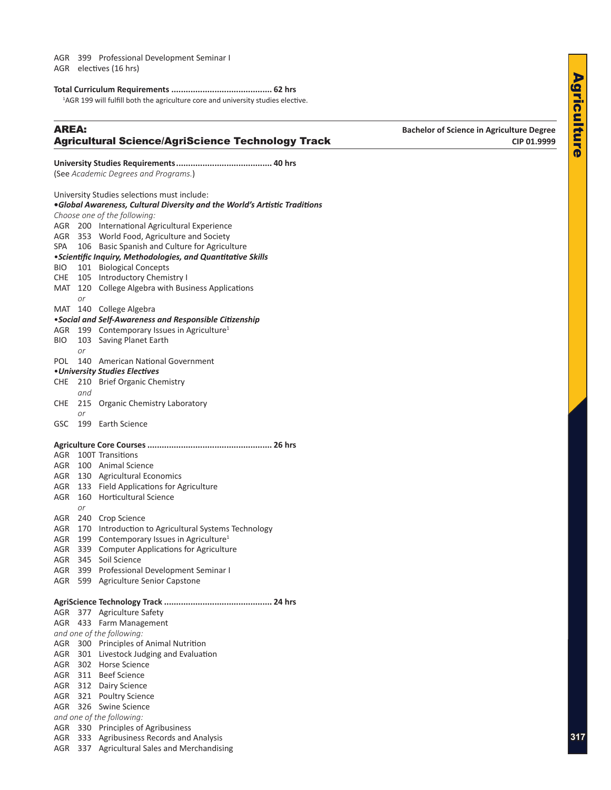<span id="page-2-0"></span>AGR electives (16 hrs)

#### **Total Curriculum Requirements .......................................... 62 hrs**

<sup>1</sup>AGR 199 will fulfill both the agriculture core and university studies elective.

# AREA: **Bachelor of Science in Agriculture Degree** Agricultural Science/AgriScience Technology Track **CIP 01.9999**

# **University Studies Requirements........................................ 40 hrs** (See *Academic Degrees and Programs.*) University Studies selections must include: **•***Global Awareness, Cultural Diversity and the World's Artistic Traditions Choose one of the following:* AGR 200 International Agricultural Experience AGR 353 World Food, Agriculture and Society SPA 106 Basic Spanish and Culture for Agriculture •*Scientific Inquiry, Methodologies, and Quantitative Skills* BIO 101 Biological Concepts CHE 105 Introductory Chemistry I

MAT 120 College Algebra with Business Applications

# *or*

# MAT 140 College Algebra

# •*Social and Self-Awareness and Responsible Citizenship*

- AGR 199 Contemporary Issues in Agriculture<sup>1</sup>
- BIO 103 Saving Planet Earth *or*
- POL 140 American National Government

#### •*University Studies Electives*

- CHE 210 Brief Organic Chemistry
- *and*
- CHE 215 Organic Chemistry Laboratory *or*
- GSC 199 Earth Science

#### **Agriculture Core Courses.................................................... 26 hrs**

| <b>AGR</b> |     | 100T Transitions                                |
|------------|-----|-------------------------------------------------|
| <b>AGR</b> |     | 100 Animal Science                              |
| <b>AGR</b> | 130 | <b>Agricultural Economics</b>                   |
| <b>AGR</b> | 133 | <b>Field Applications for Agriculture</b>       |
| <b>AGR</b> | 160 | <b>Horticultural Science</b>                    |
|            | or  |                                                 |
| AGR        | 240 | Crop Science                                    |
| AGR        | 170 | Introduction to Agricultural Systems Technology |
| AGR        | 199 | Contemporary Issues in Agriculture <sup>1</sup> |
| <b>AGR</b> | 339 | <b>Computer Applications for Agriculture</b>    |
| AGR        | 345 | Soil Science                                    |
| AGR        |     | 399 Professional Development Seminar I          |
| AGR        | 599 | <b>Agriculture Senior Capstone</b>              |
|            |     |                                                 |
|            |     |                                                 |
| AGR        |     | 377 Agriculture Safety                          |
|            |     | AGR 433 Farm Management                         |
|            |     | and one of the following:                       |
|            |     | AGR 300 Principles of Animal Nutrition          |
|            |     | AGR 301 Livestock Judging and Evaluation        |
|            |     | AGR 302 Horse Science                           |
|            |     | AGR 311 Beef Science                            |
| AGR        |     | 312 Dairy Science                               |
| AGR        | 321 | <b>Poultry Science</b>                          |
| AGR        | 326 | Swine Science                                   |
|            |     | and one of the following:                       |
| <b>AGR</b> | 330 | Principles of Agribusiness                      |
| AGR        | 333 | Agribusiness Records and Analysis               |
| AGR        | 337 | <b>Agricultural Sales and Merchandising</b>     |
|            |     |                                                 |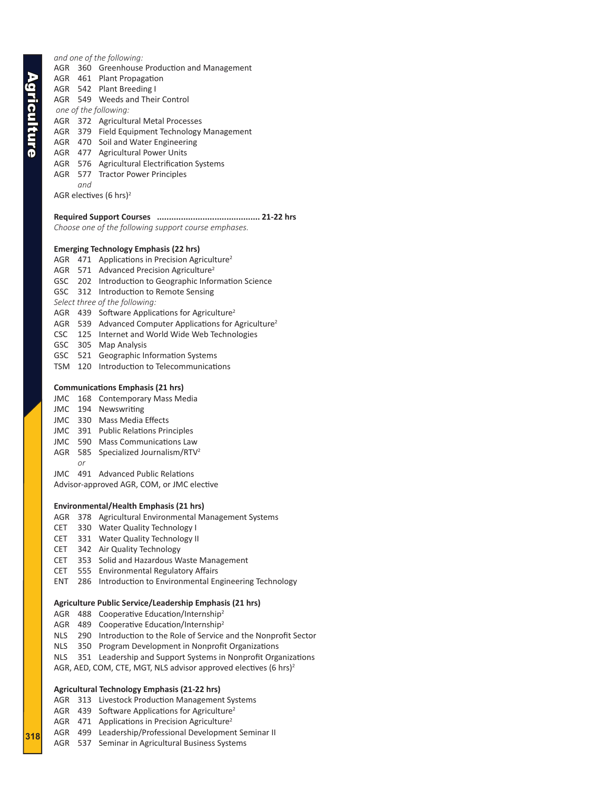*and one of the following:*

- AGR 360 Greenhouse Production and Management
- AGR 461 Plant Propagation
- AGR 542 Plant Breeding I
- AGR 549 Weeds and Their Control
- *one of the following:*
- AGR 372 Agricultural Metal Processes
- AGR 379 Field Equipment Technology Management
- AGR 470 Soil and Water Engineering
- AGR 477 Agricultural Power Units
- AGR 576 Agricultural Electrification Systems
- AGR 577 Tractor Power Principles

*and*

AGR electives (6 hrs)2

## **Required Support Courses ........................................... 21-22 hrs**

*Choose one of the following support course emphases.*

### **Emerging Technology Emphasis (22 hrs)**

- AGR 471 Applications in Precision Agriculture<sup>2</sup>
- AGR 571 Advanced Precision Agriculture<sup>2</sup>
- GSC 202 Introduction to Geographic Information Science
- GSC 312 Introduction to Remote Sensing
- *Select three of the following:*
- AGR 439 Software Applications for Agriculture<sup>2</sup>
- AGR 539 Advanced Computer Applications for Agriculture<sup>2</sup>
- CSC 125 Internet and World Wide Web Technologies
- GSC 305 Map Analysis
- GSC 521 Geographic Information Systems
- TSM 120 Introduction to Telecommunications

## **Communications Emphasis (21 hrs)**

- JMC 168 Contemporary Mass Media
- JMC 194 Newswriting
- JMC 330 Mass Media Effects
- JMC 391 Public Relations Principles
- JMC 590 Mass Communications Law
- AGR 585 Specialized Journalism/RTV<sup>2</sup>
	- *or*

JMC 491 Advanced Public Relations

Advisor-approved AGR, COM, or JMC elective

### **Environmental/Health Emphasis (21 hrs)**

- AGR 378 Agricultural Environmental Management Systems
- CET 330 Water Quality Technology I
- CET 331 Water Quality Technology II
- CET 342 Air Quality Technology
- CET 353 Solid and Hazardous Waste Management
- CET 555 Environmental Regulatory Affairs
- ENT 286 Introduction to Environmental Engineering Technology

### **Agriculture Public Service/Leadership Emphasis (21 hrs)**

- AGR 488 Cooperative Education/Internship<sup>2</sup>
- AGR 489 Cooperative Education/Internship<sup>2</sup>
- NLS 290 Introduction to the Role of Service and the Nonprofit Sector
- NLS 350 Program Development in Nonprofit Organizations
- NLS 351 Leadership and Support Systems in Nonprofit Organizations
- AGR, AED, COM, CTE, MGT, NLS advisor approved electives (6 hrs)<sup>2</sup>

# **Agricultural Technology Emphasis (21-22 hrs)**

- AGR 313 Livestock Production Management Systems
- AGR 439 Software Applications for Agriculture<sup>2</sup>
- AGR 471 Applications in Precision Agriculture<sup>2</sup>
- AGR 499 Leadership/Professional Development Seminar II
- AGR 537 Seminar in Agricultural Business Systems

**318**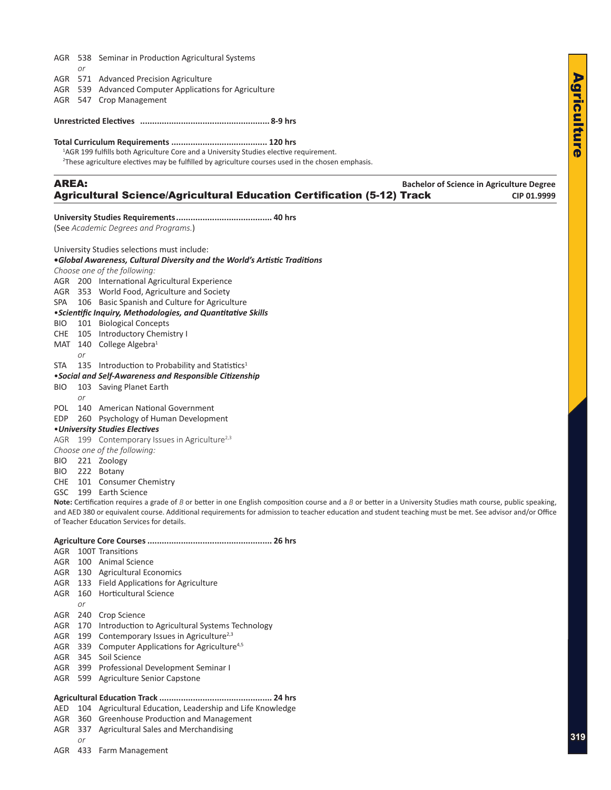- AGR 538 Seminar in Production Agricultural Systems *or*
- AGR 571 Advanced Precision Agriculture
- AGR 539 Advanced Computer Applications for Agriculture
- AGR 547 Crop Management

#### **Unrestricted Electives ...................................................... 8-9 hrs**

#### **Total Curriculum Requirements ........................................ 120 hrs**

<sup>1</sup>AGR 199 fulfills both Agriculture Core and a University Studies elective requirement.

2 These agriculture electives may be fulfilled by agriculture courses used in the chosen emphasis.

# AREA: **Bachelor of Science in Agriculture Degree** Agricultural Science/Agricultural Education Certification (5-12) Track **CIP 01.9999**

#### **University Studies Requirements........................................ 40 hrs**

(See *Academic Degrees and Programs.*)

University Studies selections must include:

#### **•***Global Awareness, Cultural Diversity and the World's Artistic Traditions*

*Choose one of the following:*

- AGR 200 International Agricultural Experience
- AGR 353 World Food, Agriculture and Society
- SPA 106 Basic Spanish and Culture for Agriculture

### •*Scientific Inquiry, Methodologies, and Quantitative Skills*

- BIO 101 Biological Concepts
- CHE 105 Introductory Chemistry I
- MAT 140 College Algebra<sup>1</sup>
	- *or*
- STA  $135$  Introduction to Probability and Statistics<sup>1</sup>

#### •*Social and Self-Awareness and Responsible Citizenship*

- BIO 103 Saving Planet Earth
	- *or*
- POL 140 American National Government
- EDP 260 Psychology of Human Development

•*University Studies Electives*

#### AGR 199 Contemporary Issues in Agriculture<sup>2,3</sup>

*Choose one of the following:*

- BIO 221 Zoology
- BIO 222 Botany
- CHE 101 Consumer Chemistry

GSC 199 Earth Science

**Note:** Certification requires a grade of *B* or better in one English composition course and a *B* or better in a University Studies math course, public speaking, and AED 380 or equivalent course. Additional requirements for admission to teacher education and student teaching must be met. See advisor and/or Office of Teacher Education Services for details.

#### **Agriculture Core Courses.................................................... 26 hrs**

- AGR 100T Transitions
- AGR 100 Animal Science
- AGR 130 Agricultural Economics
- AGR 133 Field Applications for Agriculture
- AGR 160 Horticultural Science
	- *or*
- AGR 240 Crop Science
- AGR 170 Introduction to Agricultural Systems Technology
- AGR 199 Contemporary Issues in Agriculture<sup>2,3</sup>
- AGR 339 Computer Applications for Agriculture<sup>4,5</sup>
- AGR 345 Soil Science
- AGR 399 Professional Development Seminar I
- AGR 599 Agriculture Senior Capstone

#### **Agricultural Education Track ............................................... 24 hrs**

- AED 104 Agricultural Education, Leadership and Life Knowledge
- AGR 360 Greenhouse Production and Management
- AGR 337 Agricultural Sales and Merchandising
	- *or*
- AGR 433 Farm Management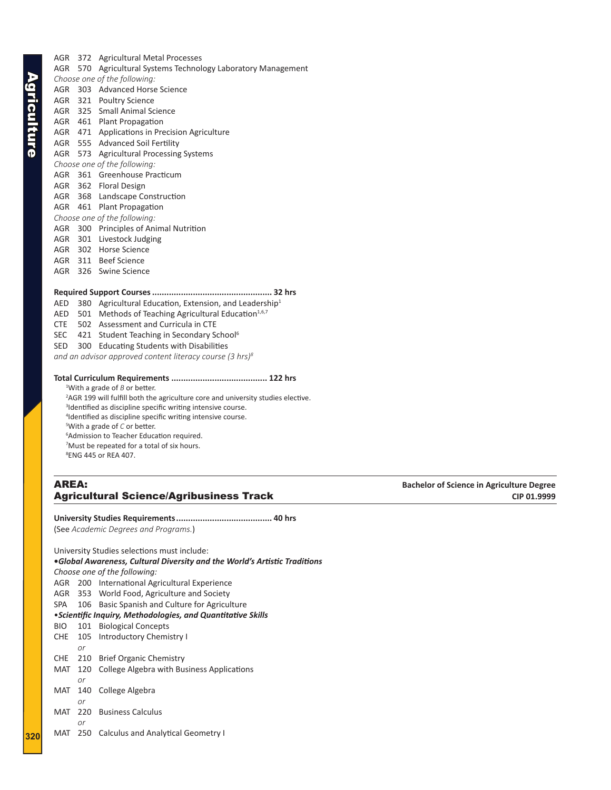AGR 372 Agricultural Metal Processes AGR 570 Agricultural Systems Technology Laboratory Management *Choose one of the following:* AGR 303 Advanced Horse Science AGR 321 Poultry Science AGR 325 Small Animal Science AGR 461 Plant Propagation AGR 471 Applications in Precision Agriculture AGR 555 Advanced Soil Fertility AGR 573 Agricultural Processing Systems *Choose one of the following:* AGR 361 Greenhouse Practicum AGR 362 Floral Design AGR 368 Landscape Construction AGR 461 Plant Propagation *Choose one of the following:* AGR 300 Principles of Animal Nutrition AGR 301 Livestock Judging AGR 302 Horse Science AGR 311 Beef Science

AGR 326 Swine Science

#### **Required Support Courses.................................................. 32 hrs**

- AED 380 Agricultural Education, Extension, and Leadership<sup>1</sup>
- AED 501 Methods of Teaching Agricultural Education<sup>1,6,7</sup>
- CTE 502 Assessment and Curricula in CTE
- SEC 421 Student Teaching in Secondary School<sup>6</sup>
- SED 300 Educating Students with Disabilities

*and an advisor approved content literacy course (3 hrs)8*

#### **Total Curriculum Requirements ........................................ 122 hrs**

1 With a grade of *B* or better.

<sup>2</sup>AGR 199 will fulfill both the agriculture core and university studies elective. <sup>3</sup>Identified as discipline specific writing intensive course. Identified as discipline specific writing intensive course. With a grade of *C* or better. Admission to Teacher Education required. Must be repeated for a total of six hours. ENG 445 or REA 407.

# AREA: **Bachelor of Science in Agriculture Degree Agricultural Science/Agribusiness Track**  CIP 01.9999 CIP 01.9999

#### **University Studies Requirements........................................ 40 hrs** (See *Academic Degrees and Programs.*)

University Studies selections must include: **•***Global Awareness, Cultural Diversity and the World's Artistic Traditions Choose one of the following:* AGR 200 International Agricultural Experience AGR 353 World Food, Agriculture and Society SPA 106 Basic Spanish and Culture for Agriculture •*Scientific Inquiry, Methodologies, and Quantitative Skills* BIO 101 Biological Concepts CHE 105 Introductory Chemistry I *or* CHE 210 Brief Organic Chemistry MAT 120 College Algebra with Business Applications *or* MAT 140 College Algebra *or* MAT 220 Business Calculus *or* MAT 250 Calculus and Analytical Geometry I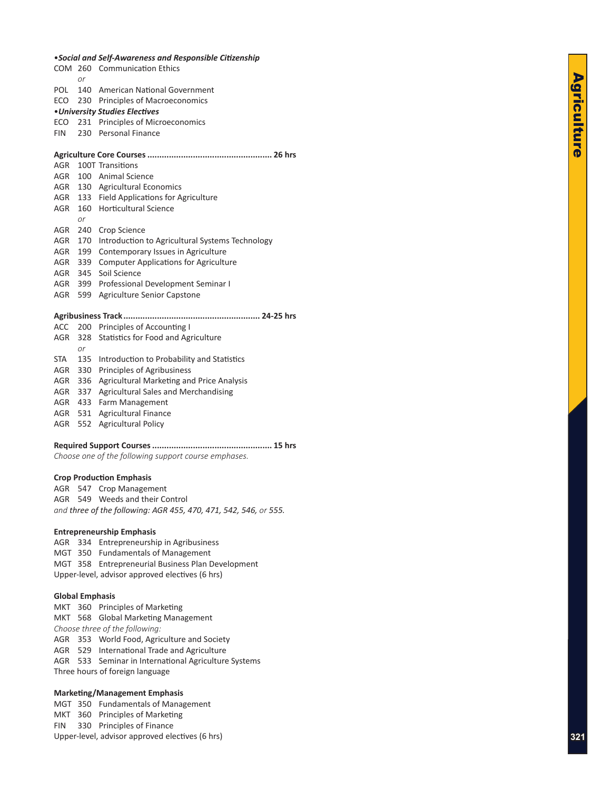|       |     | COM 260 Communication Ethics                    |
|-------|-----|-------------------------------------------------|
|       | or  |                                                 |
| POL   | 140 | American National Government                    |
|       |     | ECO 230 Principles of Macroeconomics            |
|       |     | • University Studies Electives                  |
|       |     | ECO 231 Principles of Microeconomics            |
| FIN 1 |     | 230 Personal Finance                            |
|       |     |                                                 |
| AGR   |     | 100T Transitions                                |
| AGR   |     | 100 Animal Science                              |
| AGR   |     | 130 Agricultural Economics                      |
| AGR   |     | 133 Field Applications for Agriculture          |
| AGR   |     | 160 Horticultural Science                       |
|       | or  |                                                 |
| AGR   | 240 | Crop Science                                    |
| AGR   | 170 | Introduction to Agricultural Systems Technology |
| AGR   | 199 | Contemporary Issues in Agriculture              |
| AGR   | 339 | <b>Computer Applications for Agriculture</b>    |
| AGR   | 345 | Soil Science                                    |
| AGR   | 399 | Professional Development Seminar I              |
| AGR   | 599 | Agriculture Senior Capstone                     |
|       |     | Agribucingss Track<br>21.25 hrs                 |

# **Agribusiness Track......................................................... 24-25 hrs**

|            |    | ACC 200 Principles of Accounting I             |
|------------|----|------------------------------------------------|
| <b>AGR</b> |    | 328 Statistics for Food and Agriculture        |
|            | or |                                                |
| STA        |    | 135 Introduction to Probability and Statistics |
|            |    | AGR 330 Principles of Agribusiness             |
| <b>AGR</b> |    | 336 Agricultural Marketing and Price Analysis  |
| AGR        |    | 337 Agricultural Sales and Merchandising       |
| <b>AGR</b> |    | 433 Farm Management                            |
| AGR        |    | 531 Agricultural Finance                       |
| <b>AGR</b> |    | 552 Agricultural Policy                        |
|            |    |                                                |

# **Required Support Courses.................................................. 15 hrs**

*Choose one of the following support course emphases.*

#### **Crop Production Emphasis**

AGR 547 Crop Management AGR 549 Weeds and their Control *and three of the following: AGR 455, 470, 471, 542, 546, or 555.*

## **Entrepreneurship Emphasis**

AGR 334 Entrepreneurship in Agribusiness MGT 350 Fundamentals of Management MGT 358 Entrepreneurial Business Plan Development Upper-level, advisor approved electives (6 hrs)

#### **Global Emphasis**

MKT 360 Principles of Marketing MKT 568 Global Marketing Management *Choose three of the following:* AGR 353 World Food, Agriculture and Society AGR 529 International Trade and Agriculture AGR 533 Seminar in International Agriculture Systems Three hours of foreign language

#### **Marketing/Management Emphasis**

MGT 350 Fundamentals of Management MKT 360 Principles of Marketing FIN 330 Principles of Finance Upper-level, advisor approved electives (6 hrs)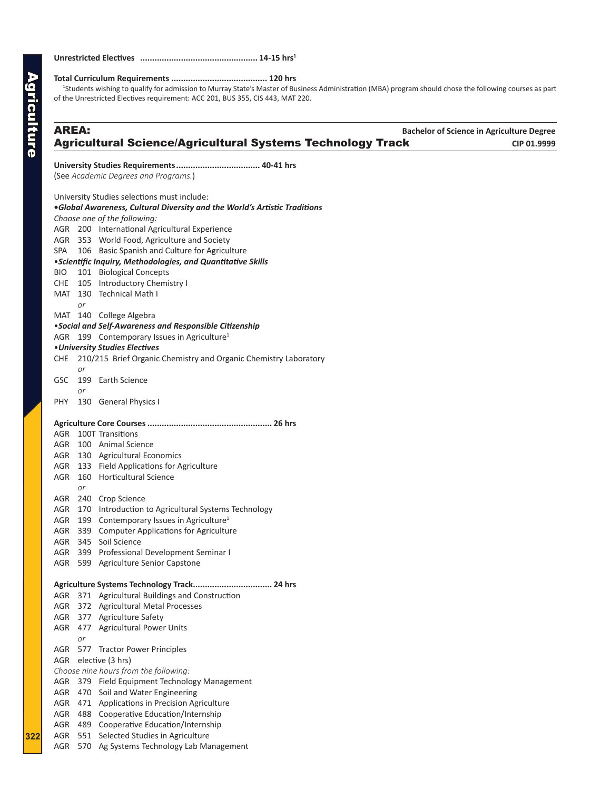# **Unrestricted Electives ................................................. 14-15 hrs1**

**Total Curriculum Requirements ........................................ 120 hrs** 1 Students wishing to qualify for admission to Murray State's Master of Business Administration (MBA) program should chose the following courses as part of the Unrestricted Electives requirement: ACC 201, BUS 355, CIS 443, MAT 220.

| <b>AREA:</b> |           |                                                                           | <b>Bachelor of Science in Agriculture Degree</b> |
|--------------|-----------|---------------------------------------------------------------------------|--------------------------------------------------|
|              |           | <b>Agricultural Science/Agricultural Systems Technology Track</b>         | CIP 01.9999                                      |
|              |           |                                                                           |                                                  |
|              |           | (See Academic Degrees and Programs.)                                      |                                                  |
|              |           | University Studies selections must include:                               |                                                  |
|              |           | .Global Awareness, Cultural Diversity and the World's Artistic Traditions |                                                  |
|              |           | Choose one of the following:                                              |                                                  |
|              |           | AGR 200 International Agricultural Experience                             |                                                  |
|              |           | AGR 353 World Food, Agriculture and Society                               |                                                  |
| SPA          |           | 106 Basic Spanish and Culture for Agriculture                             |                                                  |
|              |           | <i>•Scientific Inquiry, Methodologies, and Quantitative Skills</i>        |                                                  |
| BIO.         |           | 101 Biological Concepts                                                   |                                                  |
|              |           | CHE 105 Introductory Chemistry I                                          |                                                  |
|              |           | MAT 130 Technical Math I                                                  |                                                  |
|              | or        |                                                                           |                                                  |
|              |           | MAT 140 College Algebra                                                   |                                                  |
|              |           | • Social and Self-Awareness and Responsible Citizenship                   |                                                  |
|              |           | AGR 199 Contemporary Issues in Agriculture <sup>1</sup>                   |                                                  |
|              |           | • University Studies Electives                                            |                                                  |
|              |           | CHE 210/215 Brief Organic Chemistry and Organic Chemistry Laboratory      |                                                  |
|              | <b>or</b> |                                                                           |                                                  |
|              |           | GSC 199 Earth Science                                                     |                                                  |
|              | or        |                                                                           |                                                  |
| PHY          |           | 130 General Physics I                                                     |                                                  |
|              |           |                                                                           |                                                  |
|              |           | AGR 100T Transitions                                                      |                                                  |
|              |           | AGR 100 Animal Science                                                    |                                                  |
|              |           | AGR 130 Agricultural Economics                                            |                                                  |
|              |           | AGR 133 Field Applications for Agriculture                                |                                                  |
|              |           | AGR 160 Horticultural Science                                             |                                                  |
|              | <b>or</b> |                                                                           |                                                  |
|              |           | AGR 240 Crop Science                                                      |                                                  |
|              |           | AGR 170 Introduction to Agricultural Systems Technology                   |                                                  |
|              |           | AGR 199 Contemporary Issues in Agriculture <sup>1</sup>                   |                                                  |
|              |           | AGR 339 Computer Applications for Agriculture                             |                                                  |
|              |           | AGR 345 Soil Science                                                      |                                                  |
| AGR          |           | 399 Professional Development Seminar I                                    |                                                  |
|              |           | AGR 599 Agriculture Senior Capstone                                       |                                                  |
|              |           |                                                                           |                                                  |
| AGR          |           | 371 Agricultural Buildings and Construction                               |                                                  |
| AGR          |           | 372 Agricultural Metal Processes                                          |                                                  |
| AGR          |           | 377 Agriculture Safety                                                    |                                                  |
|              |           | AGR 477 Agricultural Power Units                                          |                                                  |
|              | or        |                                                                           |                                                  |
|              |           | AGR 577 Tractor Power Principles                                          |                                                  |
|              |           | AGR elective (3 hrs)                                                      |                                                  |
|              |           | Choose nine hours from the following:                                     |                                                  |
| AGR          |           | 379 Field Equipment Technology Management                                 |                                                  |
| AGR          |           | 470 Soil and Water Engineering                                            |                                                  |
| AGR          |           | 471 Applications in Precision Agriculture                                 |                                                  |
| AGR          |           | 488 Cooperative Education/Internship                                      |                                                  |
| AGR          |           | 489 Cooperative Education/Internship                                      |                                                  |
| AGR          |           | 551 Selected Studies in Agriculture                                       |                                                  |
| AGR          |           | 570 Ag Systems Technology Lab Management                                  |                                                  |
|              |           |                                                                           |                                                  |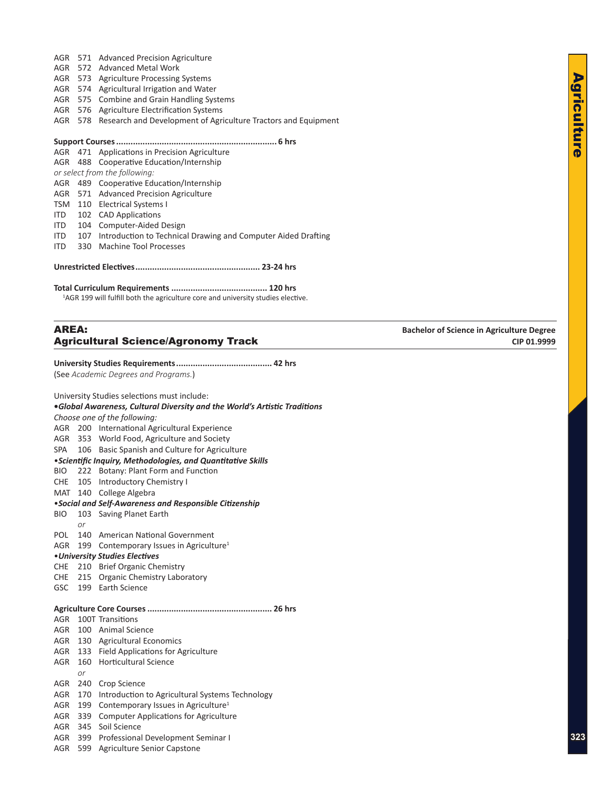- AGR 571 Advanced Precision Agriculture
- AGR 572 Advanced Metal Work
- AGR 573 Agriculture Processing Systems
- AGR 574 Agricultural Irrigation and Water
- AGR 575 Combine and Grain Handling Systems
- AGR 576 Agriculture Electrification Systems
- AGR 578 Research and Development of Agriculture Tractors and Equipment

### **Support Courses................................................................... 6 hrs**

AGR 471 Applications in Precision Agriculture

AGR 488 Cooperative Education/Internship

- *or select from the following:*
- AGR 489 Cooperative Education/Internship
- AGR 571 Advanced Precision Agriculture
- TSM 110 Electrical Systems I
- ITD 102 CAD Applications
- ITD 104 Computer-Aided Design
- ITD 107 Introduction to Technical Drawing and Computer Aided Drafting
- ITD 330 Machine Tool Processes

**Unrestricted Electives.................................................... 23-24 hrs**

#### **Total Curriculum Requirements ........................................ 120 hrs**

<sup>1</sup>AGR 199 will fulfill both the agriculture core and university studies elective.

# AREA: **Bachelor of Science in Agriculture Degree** Agricultural Science/Agronomy Track **CIP 01.9999**

**University Studies Requirements........................................ 42 hrs** (See *Academic Degrees and Programs.*)

| University Studies selections must include:                               |                              |                                                              |  |  |  |  |
|---------------------------------------------------------------------------|------------------------------|--------------------------------------------------------------|--|--|--|--|
| .Global Awareness, Cultural Diversity and the World's Artistic Traditions |                              |                                                              |  |  |  |  |
|                                                                           | Choose one of the following: |                                                              |  |  |  |  |
| AGR                                                                       |                              | 200 International Agricultural Experience                    |  |  |  |  |
| AGR                                                                       |                              | 353 World Food, Agriculture and Society                      |  |  |  |  |
| SPA                                                                       |                              | 106 Basic Spanish and Culture for Agriculture                |  |  |  |  |
|                                                                           |                              | • Scientific Inquiry, Methodologies, and Quantitative Skills |  |  |  |  |
| <b>BIO</b>                                                                |                              | 222 Botany: Plant Form and Function                          |  |  |  |  |
| <b>CHE</b>                                                                |                              | 105 Introductory Chemistry I                                 |  |  |  |  |
| MAT 140                                                                   |                              | College Algebra                                              |  |  |  |  |
|                                                                           |                              | •Social and Self-Awareness and Responsible Citizenship       |  |  |  |  |
| <b>BIO</b>                                                                | 103                          | Saving Planet Earth                                          |  |  |  |  |
|                                                                           | or                           |                                                              |  |  |  |  |
| <b>POL</b>                                                                |                              | 140 American National Government                             |  |  |  |  |
| AGR                                                                       |                              | 199 Contemporary Issues in Agriculture <sup>1</sup>          |  |  |  |  |
|                                                                           |                              | • University Studies Electives                               |  |  |  |  |
| CHE                                                                       |                              | 210 Brief Organic Chemistry                                  |  |  |  |  |
|                                                                           |                              | CHE 215 Organic Chemistry Laboratory                         |  |  |  |  |
|                                                                           |                              | GSC 199 Earth Science                                        |  |  |  |  |
|                                                                           |                              |                                                              |  |  |  |  |
| AGR                                                                       |                              | 100T Transitions                                             |  |  |  |  |
|                                                                           |                              | AGR 100 Animal Science                                       |  |  |  |  |
|                                                                           |                              | AGR 130 Agricultural Economics                               |  |  |  |  |
|                                                                           |                              | AGR 133 Field Applications for Agriculture                   |  |  |  |  |
| AGR                                                                       | 160                          | <b>Horticultural Science</b>                                 |  |  |  |  |
|                                                                           | or                           |                                                              |  |  |  |  |
| AGR                                                                       | 240                          | Crop Science                                                 |  |  |  |  |
| AGR                                                                       | 170                          | Introduction to Agricultural Systems Technology              |  |  |  |  |
| AGR                                                                       | 199                          | Contemporary Issues in Agriculture <sup>1</sup>              |  |  |  |  |
| AGR                                                                       | 339                          | <b>Computer Applications for Agriculture</b>                 |  |  |  |  |
| AGR                                                                       | 345                          | Soil Science                                                 |  |  |  |  |
| AGR                                                                       | 399                          | Professional Development Seminar I                           |  |  |  |  |
| AGR                                                                       | 599                          | <b>Agriculture Senior Capstone</b>                           |  |  |  |  |
|                                                                           |                              |                                                              |  |  |  |  |
|                                                                           |                              |                                                              |  |  |  |  |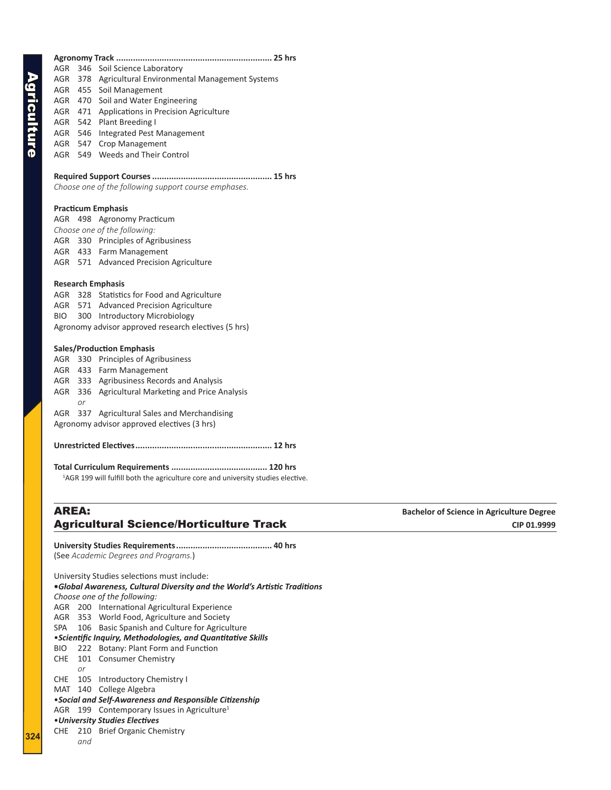|              |    | AGR 378 Agricultural Environmental Management Systems                                        |                                                  |
|--------------|----|----------------------------------------------------------------------------------------------|--------------------------------------------------|
|              |    | AGR 455 Soil Management                                                                      |                                                  |
|              |    | AGR 470 Soil and Water Engineering                                                           |                                                  |
|              |    | AGR 471 Applications in Precision Agriculture                                                |                                                  |
|              |    | AGR 542 Plant Breeding I                                                                     |                                                  |
|              |    | AGR 546 Integrated Pest Management                                                           |                                                  |
|              |    | AGR 547 Crop Management                                                                      |                                                  |
|              |    | AGR 549 Weeds and Their Control                                                              |                                                  |
|              |    |                                                                                              |                                                  |
|              |    |                                                                                              |                                                  |
|              |    | Choose one of the following support course emphases.                                         |                                                  |
|              |    |                                                                                              |                                                  |
|              |    | <b>Practicum Emphasis</b>                                                                    |                                                  |
|              |    | AGR 498 Agronomy Practicum                                                                   |                                                  |
|              |    | Choose one of the following:                                                                 |                                                  |
|              |    | AGR 330 Principles of Agribusiness                                                           |                                                  |
|              |    | AGR 433 Farm Management                                                                      |                                                  |
|              |    | AGR 571 Advanced Precision Agriculture                                                       |                                                  |
|              |    |                                                                                              |                                                  |
|              |    | <b>Research Emphasis</b>                                                                     |                                                  |
|              |    | AGR 328 Statistics for Food and Agriculture                                                  |                                                  |
|              |    | AGR 571 Advanced Precision Agriculture                                                       |                                                  |
| BIO.         |    | 300 Introductory Microbiology                                                                |                                                  |
|              |    | Agronomy advisor approved research electives (5 hrs)                                         |                                                  |
|              |    |                                                                                              |                                                  |
|              |    | <b>Sales/Production Emphasis</b>                                                             |                                                  |
|              |    | AGR 330 Principles of Agribusiness                                                           |                                                  |
|              |    | AGR 433 Farm Management                                                                      |                                                  |
|              |    | AGR 333 Agribusiness Records and Analysis                                                    |                                                  |
|              |    | AGR 336 Agricultural Marketing and Price Analysis                                            |                                                  |
|              | or |                                                                                              |                                                  |
|              |    | AGR 337 Agricultural Sales and Merchandising                                                 |                                                  |
|              |    | Agronomy advisor approved electives (3 hrs)                                                  |                                                  |
|              |    |                                                                                              |                                                  |
|              |    |                                                                                              |                                                  |
|              |    |                                                                                              |                                                  |
|              |    |                                                                                              |                                                  |
|              |    | <sup>1</sup> AGR 199 will fulfill both the agriculture core and university studies elective. |                                                  |
|              |    |                                                                                              |                                                  |
| <b>AREA:</b> |    |                                                                                              | <b>Bachelor of Science in Agriculture Degree</b> |
|              |    | <b>Agricultural Science/Horticulture Track</b>                                               | CIP 01.9999                                      |
|              |    |                                                                                              |                                                  |
|              |    |                                                                                              |                                                  |
|              |    | (See Academic Degrees and Programs.)                                                         |                                                  |
|              |    |                                                                                              |                                                  |
|              |    | University Studies selections must include:                                                  |                                                  |
|              |    | .Global Awareness, Cultural Diversity and the World's Artistic Traditions                    |                                                  |
|              |    | Choose one of the following:                                                                 |                                                  |
|              |    | AGR 200 International Agricultural Experience                                                |                                                  |
|              |    | AGR 353 World Food, Agriculture and Society                                                  |                                                  |
| SPA          |    | 106 Basic Spanish and Culture for Agriculture                                                |                                                  |
|              |    | • Scientific Inquiry, Methodologies, and Quantitative Skills                                 |                                                  |
| <b>BIO</b>   |    | 222 Botany: Plant Form and Function                                                          |                                                  |
|              |    | CHE 101 Consumer Chemistry                                                                   |                                                  |
|              | or |                                                                                              |                                                  |
|              |    | CHE 105 Introductory Chemistry I                                                             |                                                  |
|              |    | MAT 140 College Algebra                                                                      |                                                  |
|              |    | • Social and Self-Awareness and Responsible Citizenship                                      |                                                  |
|              |    | AGR 199 Contemporary Issues in Agriculture <sup>1</sup>                                      |                                                  |
|              |    | • University Studies Electives                                                               |                                                  |

**Agronomy Track ................................................................. 25 hrs**

AGR 346 Soil Science Laboratory

CHE 210 Brief Organic Chemistry

*and*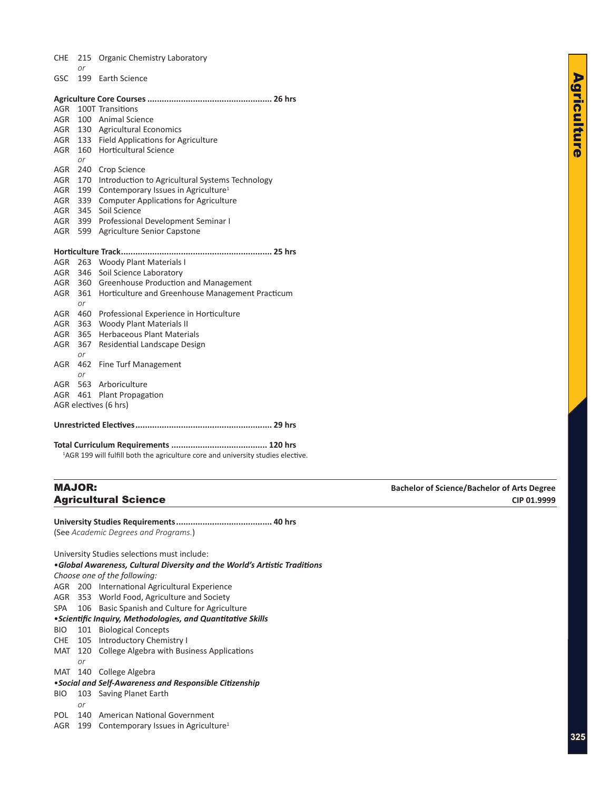|  |  | CHE 215 Organic Chemistry Laboratory |  |
|--|--|--------------------------------------|--|
|--|--|--------------------------------------|--|

*or* GSC 199 Earth Science

| AGR        |           | 100T Transitions                                 |
|------------|-----------|--------------------------------------------------|
| AGR        |           | 100 Animal Science                               |
| AGR        |           | 130 Agricultural Economics                       |
| AGR        | 133       | <b>Field Applications for Agriculture</b>        |
| AGR        | 160       | <b>Horticultural Science</b>                     |
|            | or        |                                                  |
| <b>AGR</b> | 240       | Crop Science                                     |
| AGR        | 170       | Introduction to Agricultural Systems Technology  |
| <b>AGR</b> | 199       | Contemporary Issues in Agriculture <sup>1</sup>  |
| <b>AGR</b> | 339       | <b>Computer Applications for Agriculture</b>     |
| AGR        | 345       | Soil Science                                     |
| AGR        | 399       | Professional Development Seminar I               |
| AGR        | 599       | <b>Agriculture Senior Capstone</b>               |
|            |           |                                                  |
|            |           |                                                  |
|            |           |                                                  |
| AGR        | 263       | <b>Woody Plant Materials I</b>                   |
| AGR        | 346       | Soil Science Laboratory                          |
| AGR        | 360       | Greenhouse Production and Management             |
| AGR        | 361       | Horticulture and Greenhouse Management Practicum |
|            | or        |                                                  |
| AGR        | 460       | Professional Experience in Horticulture          |
| AGR        | 363       | <b>Woody Plant Materials II</b>                  |
| <b>AGR</b> | 365       | <b>Herbaceous Plant Materials</b>                |
| AGR        | 367       | Residential Landscape Design                     |
|            | or        |                                                  |
| <b>AGR</b> | 462       | Fine Turf Management                             |
| AGR        | or<br>563 | Arboriculture                                    |

AGR 461 Plant Propagation

AGR electives (6 hrs)

**Unrestricted Electives......................................................... 29 hrs**

**Total Curriculum Requirements ........................................ 120 hrs** <sup>1</sup>AGR 199 will fulfill both the agriculture core and university studies elective.

**University Studies Requirements........................................ 40 hrs** (See *Academic Degrees and Programs.*)

University Studies selections must include: •*Global Awareness, Cultural Diversity and the World's Artistic Traditions Choose one of the following:* AGR 200 International Agricultural Experience AGR 353 World Food, Agriculture and Society SPA 106 Basic Spanish and Culture for Agriculture •*Scientific Inquiry, Methodologies, and Quantitative Skills* BIO 101 Biological Concepts CHE 105 Introductory Chemistry I MAT 120 College Algebra with Business Applications *or* MAT 140 College Algebra •*Social and Self-Awareness and Responsible Citizenship* BIO 103 Saving Planet Earth *or* POL 140 American National Government

AGR 199 Contemporary Issues in Agriculture<sup>1</sup>

MAJOR: **Bachelor of Science/Bachelor of Arts Degree Agricultural Science CIP 01.9999 CIP 01.9999**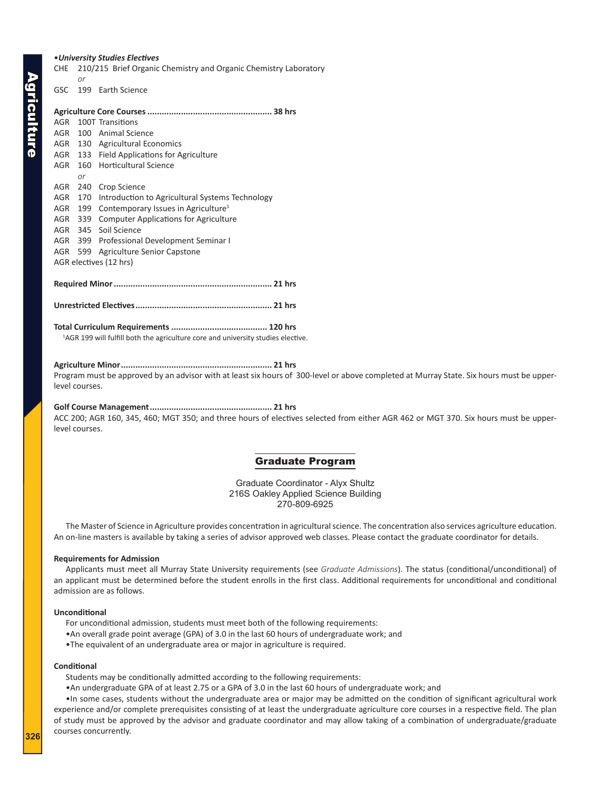## <span id="page-11-0"></span>•*University Studies Electives*

CHE 210/215 Brief Organic Chemistry and Organic Chemistry Laboratory *or*

GSC 199 Earth Science

|     |         | AGR 100T Transitions                                |  |
|-----|---------|-----------------------------------------------------|--|
|     |         | AGR 100 Animal Science                              |  |
|     |         | AGR 130 Agricultural Economics                      |  |
|     |         | AGR 133 Field Applications for Agriculture          |  |
| AGR |         | 160 Horticultural Science                           |  |
|     | or      |                                                     |  |
| AGR |         | 240 Crop Science                                    |  |
| AGR |         | 170 Introduction to Agricultural Systems Technology |  |
| AGR | 199     | Contemporary Issues in Agriculture <sup>1</sup>     |  |
|     | AGR 339 | <b>Computer Applications for Agriculture</b>        |  |
|     |         | AGR 345 Soil Science                                |  |
|     |         | AGR 399 Professional Development Seminar I          |  |
|     | AGR 599 | Agriculture Senior Capstone                         |  |
|     |         | AGR electives (12 hrs)                              |  |
|     |         |                                                     |  |
|     |         |                                                     |  |
|     |         |                                                     |  |
|     |         |                                                     |  |
|     |         |                                                     |  |

<sup>1</sup>AGR 199 will fulfill both the agriculture core and university studies elective.

#### **Agriculture Minor............................................................... 21 hrs**

Program must be approved by an advisor with at least six hours of 300-level or above completed at Murray State. Six hours must be upperlevel courses.

# **Golf Course Management................................................... 21 hrs**

ACC 200; AGR 160, 345, 460; MGT 350; and three hours of electives selected from either AGR 462 or MGT 370. Six hours must be upperlevel courses.

## Graduate Program

Graduate Coordinator - Alyx Shultz 216S Oakley Applied Science Building 270-809-6925

The Master of Science in Agriculture provides concentration in agricultural science. The concentration also services agriculture education. An on-line masters is available by taking a series of advisor approved web classes. Please contact the graduate coordinator for details.

### **Requirements for Admission**

Applicants must meet all Murray State University requirements (see *Graduate Admissions*). The status (conditional/unconditional) of an applicant must be determined before the student enrolls in the first class. Additional requirements for unconditional and conditional admission are as follows.

#### **Unconditional**

For unconditional admission, students must meet both of the following requirements:

- •An overall grade point average (GPA) of 3.0 in the last 60 hours of undergraduate work; and
- •The equivalent of an undergraduate area or major in agriculture is required.

#### **Conditional**

Students may be conditionally admitted according to the following requirements:

•An undergraduate GPA of at least 2.75 or a GPA of 3.0 in the last 60 hours of undergraduate work; and

•In some cases, students without the undergraduate area or major may be admitted on the condition of significant agricultural work experience and/or complete prerequisites consisting of at least the undergraduate agriculture core courses in a respective field. The plan of study must be approved by the advisor and graduate coordinator and may allow taking of a combination of undergraduate/graduate courses concurrently.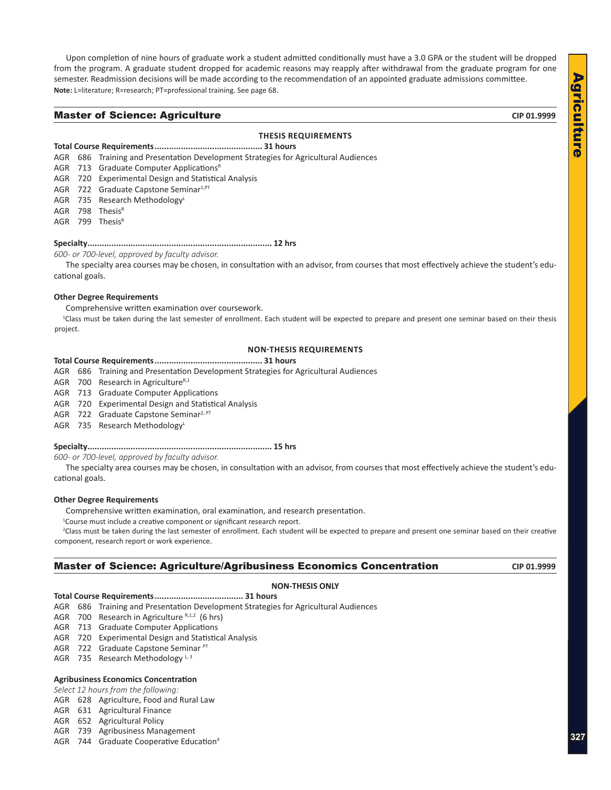Agriculture Agriculture

<span id="page-12-0"></span>Upon completion of nine hours of graduate work a student admitted conditionally must have a 3.0 GPA or the student will be dropped from the program. A graduate student dropped for academic reasons may reapply after withdrawal from the graduate program for one semester. Readmission decisions will be made according to the recommendation of an appointed graduate admissions committee. **Note:** L=literature; R=research; PT=professional training. See page 68.

## **Master of Science: Agriculture** and the control of the city of the city of the city of the city of the city of the city of the city of the city of the city of the city of the city of the city of the city of the city of th

## **THESIS REQUIREMENTS**

### **Total Course Requirements............................................. 31 hours**

- AGR 686 Training and Presentation Development Strategies for Agricultural Audiences
- AGR 713 Graduate Computer Applications<sup>R</sup>
- AGR 720 Experimental Design and Statistical Analysis
- AGR 722 Graduate Capstone Seminar<sup>1, PT</sup>
- AGR 735 Research Methodology
- AGR  $798$  Thesis<sup>R</sup>
- AGR 799 Thesis $R$

#### **Specialty............................................................................. 12 hrs**

*600- or 700-level, approved by faculty advisor.*

The specialty area courses may be chosen, in consultation with an advisor, from courses that most effectively achieve the student's educational goals.

#### **Other Degree Requirements**

Comprehensive written examination over coursework.

<sup>1</sup>Class must be taken during the last semester of enrollment. Each student will be expected to prepare and present one seminar based on their thesis project.

## **NON-THESIS REQUIREMENTS**

#### **Total Course Requirements............................................. 31 hours**

AGR 686 Training and Presentation Development Strategies for Agricultural Audiences

AGR 700 Research in Agriculture $R,1$ 

AGR 713 Graduate Computer Applications

AGR 720 Experimental Design and Statistical Analysis

AGR 722 Graduate Capstone Seminar<sup>2, PT</sup>

AGR 735 Research Methodology<sup>L</sup>

#### **Specialty............................................................................. 15 hrs**

*600- or 700-level, approved by faculty advisor.*

The specialty area courses may be chosen, in consultation with an advisor, from courses that most effectively achieve the student's educational goals.

#### **Other Degree Requirements**

Comprehensive written examination, oral examination, and research presentation.

<sup>1</sup>Course must include a creative component or significant research report.

2 Class must be taken during the last semester of enrollment. Each student will be expected to prepare and present one seminar based on their creative component, research report or work experience.

## **Master of Science: Agriculture/Agribusiness Economics Concentration**  $\text{CP 01.9999}$

#### **NON-THESIS ONLY**

## **Total Course Requirements..................................... 31 hours**

AGR 686 Training and Presentation Development Strategies for Agricultural Audiences

AGR 700 Research in Agriculture  $R,1,2$  (6 hrs)

AGR 713 Graduate Computer Applications

AGR 720 Experimental Design and Statistical Analysis

AGR 722 Graduate Capstone Seminar PT

AGR 735 Research Methodology  $L, 3$ 

#### **Agribusiness Economics Concentration**

*Select 12 hours from the following:*

AGR 628 Agriculture, Food and Rural Law

AGR 631 Agricultural Finance

AGR 652 Agricultural Policy

- AGR 739 Agribusiness Management
- AGR 744 Graduate Cooperative Education<sup>4</sup>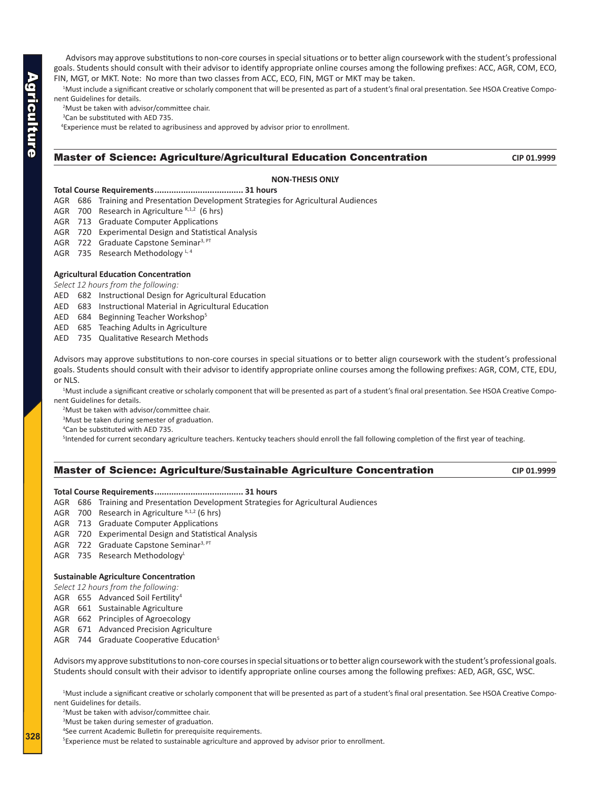Advisors may approve substitutions to non-core courses in special situations or to better align coursework with the student's professional goals. Students should consult with their advisor to identify appropriate online courses among the following prefixes: ACC, AGR, COM, ECO, FIN, MGT, or MKT. Note: No more than two classes from ACC, ECO, FIN, MGT or MKT may be taken.

1 Must include a significant creative or scholarly component that will be presented as part of a student's final oral presentation. See HSOA Creative Component Guidelines for details.

2 Must be taken with advisor/committee chair.

<sup>3</sup>Can be substituted with AED 735.

<sup>4</sup> Experience must be related to agribusiness and approved by advisor prior to enrollment.

## Master of Science: Agriculture/Agricultural Education Concentration **CIP 01.9999**

# **NON-THESIS ONLY**

# **Total Course Requirements..................................... 31 hours**

- AGR 686 Training and Presentation Development Strategies for Agricultural Audiences
- AGR 700 Research in Agriculture R,1,2 (6 hrs)
- AGR 713 Graduate Computer Applications
- AGR 720 Experimental Design and Statistical Analysis
- AGR 722 Graduate Capstone Seminar<sup>3, PT</sup>
- AGR 735 Research Methodology  $L, 4$

## **Agricultural Education Concentration**

*Select 12 hours from the following:*

- AED 682 Instructional Design for Agricultural Education
- AED 683 Instructional Material in Agricultural Education
- AED 684 Beginning Teacher Workshop5
- AED 685 Teaching Adults in Agriculture
- AED 735 Qualitative Research Methods

Advisors may approve substitutions to non-core courses in special situations or to better align coursework with the student's professional goals. Students should consult with their advisor to identify appropriate online courses among the following prefixes: AGR, COM, CTE, EDU, or NLS.

1 Must include a significant creative or scholarly component that will be presented as part of a student's final oral presentation. See HSOA Creative Component Guidelines for details.

- 2 Must be taken with advisor/committee chair.
- <sup>3</sup>Must be taken during semester of graduation.
- 4 Can be substituted with AED 735.

<sup>5</sup>Intended for current secondary agriculture teachers. Kentucky teachers should enroll the fall following completion of the first year of teaching.

## **Master of Science: Agriculture/Sustainable Agriculture Concentration <b>CIP** 01.9999

#### **Total Course Requirements..................................... 31 hours**

- AGR 686 Training and Presentation Development Strategies for Agricultural Audiences
- AGR 700 Research in Agriculture  $R,1,2$  (6 hrs)
- AGR 713 Graduate Computer Applications
- AGR 720 Experimental Design and Statistical Analysis
- AGR 722 Graduate Capstone Seminar<sup>3, PT</sup>
- AGR 735 Research Methodology<sup>L</sup>

#### **Sustainable Agriculture Concentration**

- *Select 12 hours from the following:*
- AGR 655 Advanced Soil Fertility4
- AGR 661 Sustainable Agriculture
- AGR 662 Principles of Agroecology
- AGR 671 Advanced Precision Agriculture
- AGR 744 Graduate Cooperative Education<sup>5</sup>

Advisors my approve substitutions to non-core courses in special situations or to better align coursework with the student's professional goals. Students should consult with their advisor to identify appropriate online courses among the following prefixes: AED, AGR, GSC, WSC.

1 Must include a significant creative or scholarly component that will be presented as part of a student's final oral presentation. See HSOA Creative Component Guidelines for details.

2 Must be taken with advisor/committee chair.

<sup>3</sup>Must be taken during semester of graduation.

4 See current Academic Bulletin for prerequisite requirements.

<sup>5</sup> Experience must be related to sustainable agriculture and approved by advisor prior to enrollment.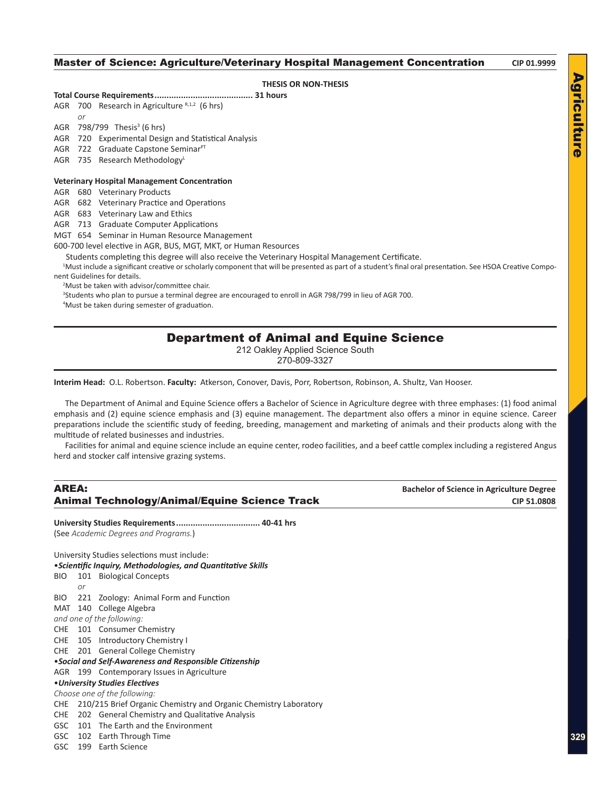# <span id="page-14-0"></span>**Master of Science: Agriculture/Veterinary Hospital Management Concentration** CIP 01.9999 **THESIS OR NON-THESIS Total Course Requirements......................................... 31 hours** AGR 700 Research in Agriculture  $R,1,2$  (6 hrs) *or* AGR 798/799 Thesis<sup>3</sup> (6 hrs)

Agriculture

Agriculture

**329**

#### AGR 720 Experimental Design and Statistical Analysis

AGR 722 Graduate Capstone SeminarPT

AGR 735 Research Methodology

#### **Veterinary Hospital Management Concentration**

AGR 680 Veterinary Products

AGR 682 Veterinary Practice and Operations

AGR 683 Veterinary Law and Ethics

AGR 713 Graduate Computer Applications

MGT 654 Seminar in Human Resource Management

600-700 level elective in AGR, BUS, MGT, MKT, or Human Resources

Students completing this degree will also receive the Veterinary Hospital Management Certificate.

1 Must include a significant creative or scholarly component that will be presented as part of a student's final oral presentation. See HSOA Creative Component Guidelines for details.

2 Must be taken with advisor/committee chair.

3 Students who plan to pursue a terminal degree are encouraged to enroll in AGR 798/799 in lieu of AGR 700.

4 Must be taken during semester of graduation.

# Department of Animal and Equine Science

212 Oakley Applied Science South

270-809-3327

**Interim Head:** O.L. Robertson. **Faculty:** Atkerson, Conover, Davis, Porr, Robertson, Robinson, A. Shultz, Van Hooser.

The Department of Animal and Equine Science offers a Bachelor of Science in Agriculture degree with three emphases: (1) food animal emphasis and (2) equine science emphasis and (3) equine management. The department also offers a minor in equine science. Career preparations include the scientific study of feeding, breeding, management and marketing of animals and their products along with the multitude of related businesses and industries.

Facilities for animal and equine science include an equine center, rodeo facilities, and a beef cattle complex including a registered Angus herd and stocker calf intensive grazing systems.

| <b>AREA:</b> |    |                                                                      | <b>Bachelor of Science in Agriculture Degree</b> |
|--------------|----|----------------------------------------------------------------------|--------------------------------------------------|
|              |    | <b>Animal Technology/Animal/Equine Science Track</b>                 | CIP 51.0808                                      |
|              |    | (See Academic Degrees and Programs.)                                 |                                                  |
|              |    |                                                                      |                                                  |
|              |    | University Studies selections must include:                          |                                                  |
|              |    | • Scientific Inquiry, Methodologies, and Quantitative Skills         |                                                  |
| BIO.         |    | 101 Biological Concepts                                              |                                                  |
|              | or |                                                                      |                                                  |
| BIO.         |    | 221 Zoology: Animal Form and Function                                |                                                  |
| MAT          |    | 140 College Algebra                                                  |                                                  |
|              |    | and one of the following:                                            |                                                  |
|              |    | CHE 101 Consumer Chemistry                                           |                                                  |
|              |    | CHE 105 Introductory Chemistry I                                     |                                                  |
|              |    | CHE 201 General College Chemistry                                    |                                                  |
|              |    | • Social and Self-Awareness and Responsible Citizenship              |                                                  |
|              |    | AGR 199 Contemporary Issues in Agriculture                           |                                                  |
|              |    | • University Studies Electives                                       |                                                  |
|              |    | Choose one of the following:                                         |                                                  |
|              |    | CHE 210/215 Brief Organic Chemistry and Organic Chemistry Laboratory |                                                  |
| <b>CHE</b>   |    | 202 General Chemistry and Qualitative Analysis                       |                                                  |
| GSC          |    | 101 The Earth and the Environment                                    |                                                  |
| GSC          |    | 102 Earth Through Time                                               |                                                  |
| GSC          |    | 199 Earth Science                                                    |                                                  |
|              |    |                                                                      |                                                  |
|              |    |                                                                      |                                                  |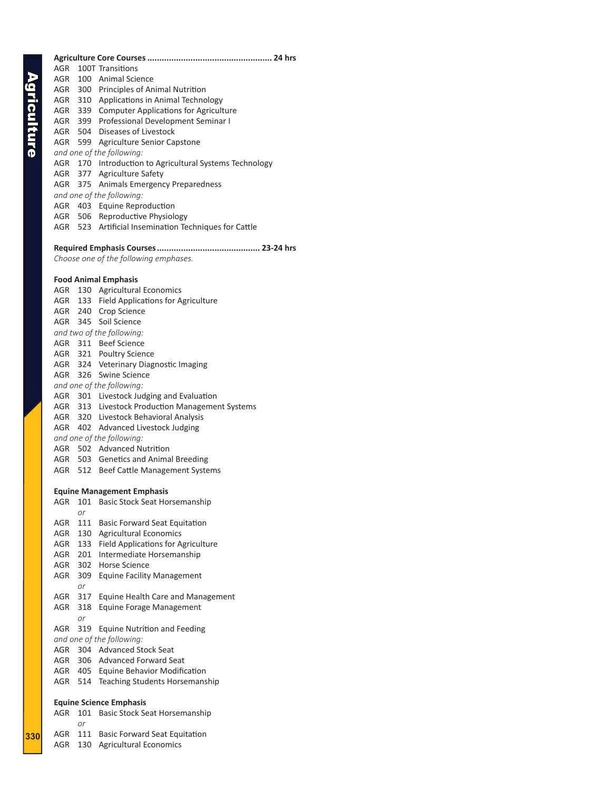**330**

AGR 100T Transitions AGR 100 Animal Science AGR 300 Principles of Animal Nutrition AGR 310 Applications in Animal Technology AGR 339 Computer Applications for Agriculture AGR 399 Professional Development Seminar I AGR 504 Diseases of Livestock AGR 599 Agriculture Senior Capstone *and one of the following:* AGR 170 Introduction to Agricultural Systems Technology AGR 377 Agriculture Safety AGR 375 Animals Emergency Preparedness *and one of the following:* AGR 403 Equine Reproduction AGR 506 Reproductive Physiology AGR 523 Artificial Insemination Techniques for Cattle **Required Emphasis Courses........................................... 23-24 hrs** *Choose one of the following emphases.* **Food Animal Emphasis** AGR 130 Agricultural Economics AGR 133 Field Applications for Agriculture AGR 240 Crop Science AGR 345 Soil Science *and two of the following:* AGR 311 Beef Science AGR 321 Poultry Science AGR 324 Veterinary Diagnostic Imaging AGR 326 Swine Science *and one of the following:* AGR 301 Livestock Judging and Evaluation AGR 313 Livestock Production Management Systems AGR 320 Livestock Behavioral Analysis AGR 402 Advanced Livestock Judging *and one of the following:* AGR 502 Advanced Nutrition AGR 503 Genetics and Animal Breeding AGR 512 Beef Cattle Management Systems **Equine Management Emphasis** AGR 101 Basic Stock Seat Horsemanship *or* AGR 111 Basic Forward Seat Equitation AGR 130 Agricultural Economics AGR 133 Field Applications for Agriculture AGR 201 Intermediate Horsemanship AGR 302 Horse Science AGR 309 Equine Facility Management *or* AGR 317 Equine Health Care and Management AGR 318 Equine Forage Management *or* AGR 319 Equine Nutrition and Feeding *and one of the following:* AGR 304 Advanced Stock Seat AGR 306 Advanced Forward Seat AGR 405 Equine Behavior Modification AGR 514 Teaching Students Horsemanship **Equine Science Emphasis** AGR 101 Basic Stock Seat Horsemanship *or* AGR 111 Basic Forward Seat Equitation AGR 130 Agricultural Economics

**Agriculture Core Courses.................................................... 24 hrs**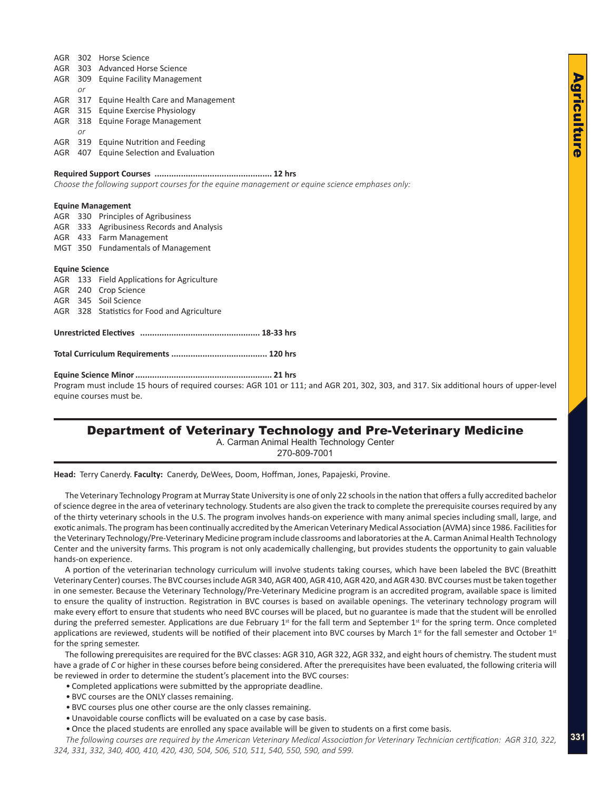<span id="page-16-0"></span>

| AGR |     | 302 Horse Science                         |
|-----|-----|-------------------------------------------|
| AGR |     | 303 Advanced Horse Science                |
| AGR |     | 309 Equine Facility Management            |
|     | or  |                                           |
|     |     | AGR 317 Equine Health Care and Management |
| AGR |     | 315 Equine Exercise Physiology            |
| AGR |     | 318 Equine Forage Management              |
|     | or  |                                           |
| AGR | 319 | Equine Nutrition and Feeding              |

AGR 407 Equine Selection and Evaluation

#### **Required Support Courses ................................................. 12 hrs**

*Choose the following support courses for the equine management or equine science emphases only:*

#### **Equine Management**

|                       |  | AGR 330 Principles of Agribusiness          |  |  |
|-----------------------|--|---------------------------------------------|--|--|
|                       |  | AGR 333 Agribusiness Records and Analysis   |  |  |
|                       |  | AGR 433 Farm Management                     |  |  |
|                       |  | MGT 350 Fundamentals of Management          |  |  |
|                       |  |                                             |  |  |
| <b>Equine Science</b> |  |                                             |  |  |
|                       |  | AGR 133 Field Applications for Agriculture  |  |  |
|                       |  | AGR 240 Crop Science                        |  |  |
|                       |  | AGR 345 Soil Science                        |  |  |
|                       |  | AGR 328 Statistics for Food and Agriculture |  |  |
|                       |  |                                             |  |  |
|                       |  |                                             |  |  |
|                       |  |                                             |  |  |

**Total Curriculum Requirements ........................................ 120 hrs**

#### **Equine Science Minor......................................................... 21 hrs**

Program must include 15 hours of required courses: AGR 101 or 111; and AGR 201, 302, 303, and 317. Six additional hours of upper-level equine courses must be.

# Department of Veterinary Technology and Pre-Veterinary Medicine

A. Carman Animal Health Technology Center

270-809-7001

**Head:** Terry Canerdy. **Faculty:** Canerdy, DeWees, Doom, Hoffman, Jones, Papajeski, Provine.

The Veterinary Technology Program at Murray State University is one of only 22 schools in the nation that offers a fully accredited bachelor of science degree in the area of veterinary technology. Students are also given the track to complete the prerequisite courses required by any of the thirty veterinary schools in the U.S. The program involves hands-on experience with many animal species including small, large, and exotic animals. The program has been continually accredited by the American Veterinary Medical Association (AVMA) since 1986. Facilities for the Veterinary Technology/Pre-Veterinary Medicine program include classrooms and laboratories at the A. Carman Animal Health Technology Center and the university farms. This program is not only academically challenging, but provides students the opportunity to gain valuable hands-on experience.

A portion of the veterinarian technology curriculum will involve students taking courses, which have been labeled the BVC (Breathitt Veterinary Center) courses. The BVC courses include AGR 340, AGR 400, AGR 410, AGR 420, and AGR 430. BVC courses must be taken together in one semester. Because the Veterinary Technology/Pre-Veterinary Medicine program is an accredited program, available space is limited to ensure the quality of instruction. Registration in BVC courses is based on available openings. The veterinary technology program will make every effort to ensure that students who need BVC courses will be placed, but no guarantee is made that the student will be enrolled during the preferred semester. Applications are due February  $1<sup>st</sup>$  for the fall term and September  $1<sup>st</sup>$  for the spring term. Once completed applications are reviewed, students will be notified of their placement into BVC courses by March  $1<sup>st</sup>$  for the fall semester and October  $1<sup>st</sup>$ for the spring semester.

The following prerequisites are required for the BVC classes: AGR 310, AGR 322, AGR 332, and eight hours of chemistry. The student must have a grade of *C* or higher in these courses before being considered. After the prerequisites have been evaluated, the following criteria will be reviewed in order to determine the student's placement into the BVC courses:

• Completed applications were submitted by the appropriate deadline.

- BVC courses are the ONLY classes remaining.
- BVC courses plus one other course are the only classes remaining.
- Unavoidable course conflicts will be evaluated on a case by case basis.
- Once the placed students are enrolled any space available will be given to students on a first come basis.

**331** *The following courses are required by the American Veterinary Medical Association for Veterinary Technician certification:**AGR 310, 322, 324, 331, 332, 340, 400, 410, 420, 430, 504, 506, 510, 511, 540, 550, 590, and 599.*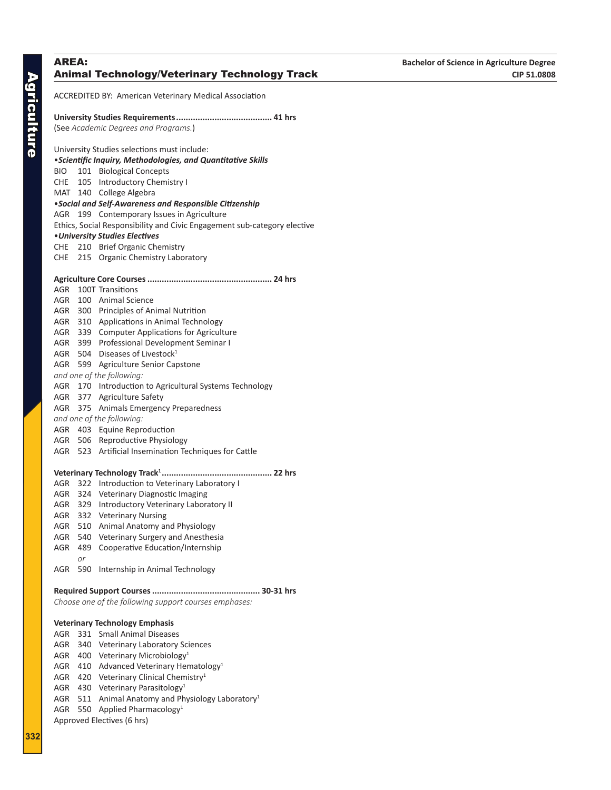# ACCREDITED BY: American Veterinary Medical Association **University Studies Requirements........................................ 41 hrs** (See *Academic Degrees and Programs.*) University Studies selections must include: •*Scientific Inquiry, Methodologies, and Quantitative Skills* BIO 101 Biological Concepts CHE 105 Introductory Chemistry I MAT 140 College Algebra •*Social and Self-Awareness and Responsible Citizenship* AGR 199 Contemporary Issues in Agriculture Ethics, Social Responsibility and Civic Engagement sub-category elective •*University Studies Electives* CHE 210 Brief Organic Chemistry CHE 215 Organic Chemistry Laboratory **Agriculture Core Courses.................................................... 24 hrs** AGR 100T Transitions AGR 100 Animal Science AGR 300 Principles of Animal Nutrition AGR 310 Applications in Animal Technology AGR 339 Computer Applications for Agriculture AGR 399 Professional Development Seminar I AGR 504 Diseases of Livestock<sup>1</sup> AGR 599 Agriculture Senior Capstone *and one of the following:* AGR 170 Introduction to Agricultural Systems Technology AGR 377 Agriculture Safety AGR 375 Animals Emergency Preparedness *and one of the following:* AGR 403 Equine Reproduction AGR 506 Reproductive Physiology AGR 523 Artificial Insemination Techniques for Cattle **Veterinary Technology Track1 .............................................. 22 hrs** AGR 322 Introduction to Veterinary Laboratory I AGR 324 Veterinary Diagnostic Imaging AGR 329 Introductory Veterinary Laboratory II AGR 332 Veterinary Nursing AGR 510 Animal Anatomy and Physiology AGR 540 Veterinary Surgery and Anesthesia AGR 489 Cooperative Education/Internship *or* AGR 590 Internship in Animal Technology **Required Support Courses............................................. 30-31 hrs** *Choose one of the following support courses emphases:* **Veterinary Technology Emphasis** AGR 331 Small Animal Diseases AGR 340 Veterinary Laboratory Sciences AGR 400 Veterinary Microbiology1

- AGR 410 Advanced Veterinary Hematology<sup>1</sup>
- AGR 420 Veterinary Clinical Chemistry1
- AGR 430 Veterinary Parasitology1
- AGR 511 Animal Anatomy and Physiology Laboratory<sup>1</sup>
- AGR 550 Applied Pharmacology<sup>1</sup>

Approved Electives (6 hrs)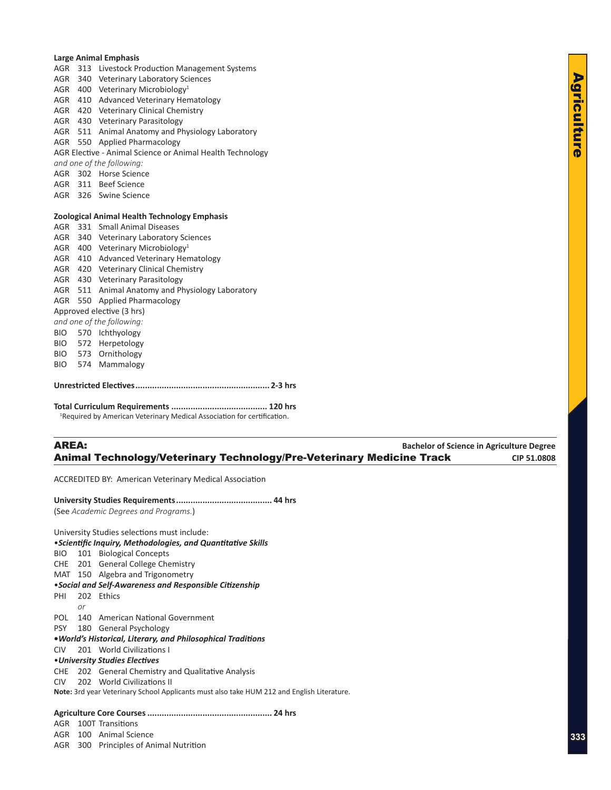**Large Animal Emphasis** AGR 313 Livestock Production Management Systems AGR 340 Veterinary Laboratory Sciences AGR 400 Veterinary Microbiology1 AGR 410 Advanced Veterinary Hematology AGR 420 Veterinary Clinical Chemistry AGR 430 Veterinary Parasitology AGR 511 Animal Anatomy and Physiology Laboratory AGR 550 Applied Pharmacology AGR Elective - Animal Science or Animal Health Technology *and one of the following:* AGR 302 Horse Science AGR 311 Beef Science AGR 326 Swine Science **Zoological Animal Health Technology Emphasis** AGR 331 Small Animal Diseases AGR 340 Veterinary Laboratory Sciences AGR 400 Veterinary Microbiology<sup>1</sup> AGR 410 Advanced Veterinary Hematology AGR 420 Veterinary Clinical Chemistry AGR 430 Veterinary Parasitology AGR 511 Animal Anatomy and Physiology Laboratory AGR 550 Applied Pharmacology Approved elective (3 hrs) *and one of the following:* BIO 570 Ichthyology BIO 572 Herpetology BIO 573 Ornithology BIO 574 Mammalogy **Unrestricted Electives........................................................ 2-3 hrs**

**Total Curriculum Requirements ........................................ 120 hrs** <sup>1</sup>Required by American Veterinary Medical Association for certification.

# AREA: **Bachelor of Science in Agriculture Degree** Animal Technology/Veterinary Technology/Pre-Veterinary Medicine Track **CIP 51.0808**

ACCREDITED BY: American Veterinary Medical Association

**University Studies Requirements........................................ 44 hrs** (See *Academic Degrees and Programs.*)

University Studies selections must include: •*Scientific Inquiry, Methodologies, and Quantitative Skills* BIO 101 Biological Concepts CHE 201 General College Chemistry MAT 150 Algebra and Trigonometry •*Social and Self-Awareness and Responsible Citizenship* PHI 202 Ethics *or* POL 140 American National Government PSY 180 General Psychology **•***World's Historical, Literary, and Philosophical Traditions* CIV 201 World Civilizations I •*University Studies Electives* CHE 202 General Chemistry and Qualitative Analysis CIV 202 World Civilizations II **Note:** 3rd year Veterinary School Applicants must also take HUM 212 and English Literature.

# **Agriculture Core Courses.................................................... 24 hrs**

AGR 100T Transitions

- AGR 100 Animal Science
- AGR 300 Principles of Animal Nutrition